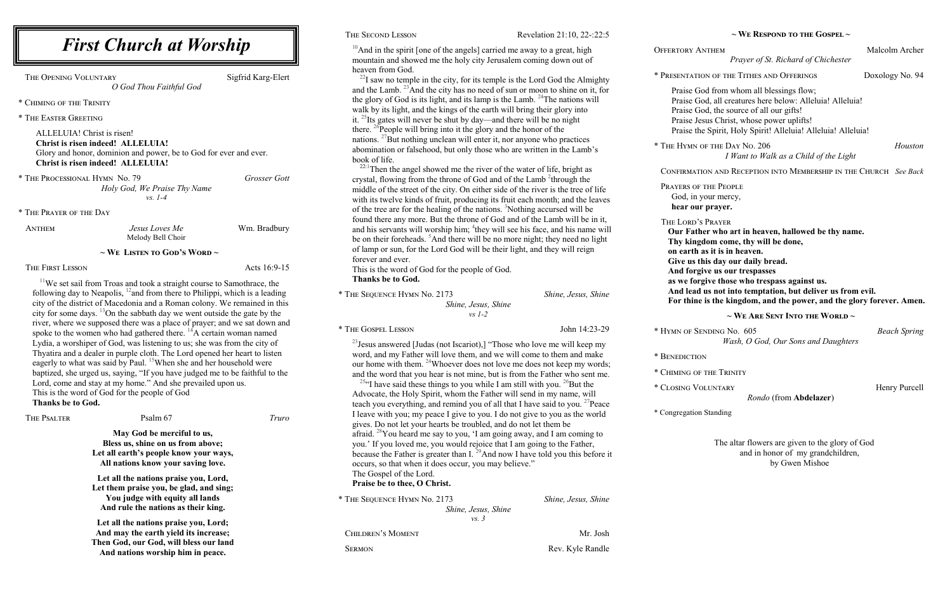|                                                                                                          | THE SECOND LESSON<br>Revelation 21:10, 22-:22:5                                                                                                                                                                                                                                                                                                 |                                                                                                                                                                                                                                                              | $\sim$ We Respond to the Gospel $\sim$                                                                                                                                                                                                                                                                                                                                                                       |                     |
|----------------------------------------------------------------------------------------------------------|-------------------------------------------------------------------------------------------------------------------------------------------------------------------------------------------------------------------------------------------------------------------------------------------------------------------------------------------------|--------------------------------------------------------------------------------------------------------------------------------------------------------------------------------------------------------------------------------------------------------------|--------------------------------------------------------------------------------------------------------------------------------------------------------------------------------------------------------------------------------------------------------------------------------------------------------------------------------------------------------------------------------------------------------------|---------------------|
| tt Worship                                                                                               |                                                                                                                                                                                                                                                                                                                                                 | $10$ And in the spirit [one of the angels] carried me away to a great, high<br>mountain and showed me the holy city Jerusalem coming down out of                                                                                                             | <b>OFFERTORY ANTHEM</b><br>Prayer of St. Richard of Chichester                                                                                                                                                                                                                                                                                                                                               | Malcolm Archer      |
| Sigfrid Karg-Elert<br>ful God                                                                            | heaven from God.<br>$^{22}$ I saw no temple in the city, for its temple is the Lord God the Almighty<br>and the Lamb. <sup>23</sup> And the city has no need of sun or moon to shine on it, for                                                                                                                                                 |                                                                                                                                                                                                                                                              | * PRESENTATION OF THE TITHES AND OFFERINGS<br>Praise God from whom all blessings flow;                                                                                                                                                                                                                                                                                                                       | Doxology No. 94     |
|                                                                                                          | it. $^{25}$ Its gates will never be shut by day—and there will be no night<br>there. <sup>26</sup> People will bring into it the glory and the honor of the                                                                                                                                                                                     | the glory of God is its light, and its lamp is the Lamb. <sup>24</sup> The nations will<br>walk by its light, and the kings of the earth will bring their glory into                                                                                         | Praise God, all creatures here below: Alleluia! Alleluia!<br>Praise God, the source of all our gifts!<br>Praise Jesus Christ, whose power uplifts!<br>Praise the Spirit, Holy Spirit! Alleluia! Alleluia! Alleluia!                                                                                                                                                                                          |                     |
| be to God for ever and ever.                                                                             | book of life.                                                                                                                                                                                                                                                                                                                                   | nations. $^{27}$ But nothing unclean will enter it, nor anyone who practices<br>abomination or falsehood, but only those who are written in the Lamb's                                                                                                       | * THE HYMN OF THE DAY No. 206<br>I Want to Walk as a Child of the Light                                                                                                                                                                                                                                                                                                                                      | Houston             |
| Grosser Gott                                                                                             | <sup>22:1</sup> Then the angel showed me the river of the water of life, bright as<br>crystal, flowing from the throne of God and of the Lamb <sup>2</sup> through the                                                                                                                                                                          |                                                                                                                                                                                                                                                              | CONFIRMATION AND RECEPTION INTO MEMBERSHIP IN THE CHURCH See Back                                                                                                                                                                                                                                                                                                                                            |                     |
| Thy Name                                                                                                 |                                                                                                                                                                                                                                                                                                                                                 | middle of the street of the city. On either side of the river is the tree of life<br>with its twelve kinds of fruit, producing its fruit each month; and the leaves<br>of the tree are for the healing of the nations. <sup>3</sup> Nothing accursed will be | PRAYERS OF THE PEOPLE<br>God, in your mercy,<br>hear our prayer.                                                                                                                                                                                                                                                                                                                                             |                     |
| Wm. Bradbury<br>Иe<br>noir                                                                               | found there any more. But the throne of God and of the Lamb will be in it,<br>and his servants will worship him; <sup>4</sup> they will see his face, and his name will<br>be on their foreheads. <sup>5</sup> And there will be no more night; they need no light<br>of lamp or sun, for the Lord God will be their light, and they will reign |                                                                                                                                                                                                                                                              | THE LORD'S PRAYER<br>Our Father who art in heaven, hallowed be thy name.<br>Thy kingdom come, thy will be done,<br>on earth as it is in heaven.<br>Give us this day our daily bread.<br>And forgive us our trespasses<br>as we forgive those who trespass against us.<br>And lead us not into temptation, but deliver us from evil.<br>For thine is the kingdom, and the power, and the glory forever. Amen. |                     |
| d's Word ~<br>Acts 16:9-15                                                                               | forever and ever.<br>This is the word of God for the people of God.                                                                                                                                                                                                                                                                             |                                                                                                                                                                                                                                                              |                                                                                                                                                                                                                                                                                                                                                                                                              |                     |
| light course to Samothrace, the<br>re to Philippi, which is a leading<br>man colony. We remained in this | Thanks be to God.<br>* THE SEQUENCE HYMN No. 2173<br>Shine, Jesus, Shine<br>Shine, Jesus, Shine                                                                                                                                                                                                                                                 |                                                                                                                                                                                                                                                              |                                                                                                                                                                                                                                                                                                                                                                                                              |                     |
| we went outside the gate by the                                                                          |                                                                                                                                                                                                                                                                                                                                                 | $vs$ 1-2                                                                                                                                                                                                                                                     | $\sim$ We Are Sent Into the World $\sim$                                                                                                                                                                                                                                                                                                                                                                     |                     |
| ce of prayer; and we sat down and<br>ere. <sup>14</sup> A certain woman named                            | * THE GOSPEL LESSON                                                                                                                                                                                                                                                                                                                             | John 14:23-29                                                                                                                                                                                                                                                | * HYMN OF SENDING No. 605                                                                                                                                                                                                                                                                                                                                                                                    | <b>Beach Spring</b> |
| to us; she was from the city of<br>Lord opened her heart to listen                                       |                                                                                                                                                                                                                                                                                                                                                 | <sup>23</sup> Jesus answered [Judas (not Iscariot),] "Those who love me will keep my<br>word, and my Father will love them, and we will come to them and make                                                                                                | Wash, O God, Our Sons and Daughters<br>* BENEDICTION                                                                                                                                                                                                                                                                                                                                                         |                     |
| she and her household were<br>ve judged me to be faithful to the                                         | our home with them. <sup>24</sup> Whoever does not love me does not keep my words;<br>and the word that you hear is not mine, but is from the Father who sent me.                                                                                                                                                                               |                                                                                                                                                                                                                                                              | * CHIMING OF THE TRINITY                                                                                                                                                                                                                                                                                                                                                                                     |                     |
| he prevailed upon us.                                                                                    | <sup>25</sup> " have said these things to you while I am still with you. <sup>26</sup> But the                                                                                                                                                                                                                                                  |                                                                                                                                                                                                                                                              | * CLOSING VOLUNTARY                                                                                                                                                                                                                                                                                                                                                                                          | Henry Purcell       |
| God                                                                                                      |                                                                                                                                                                                                                                                                                                                                                 | Advocate, the Holy Spirit, whom the Father will send in my name, will<br>teach you everything, and remind you of all that I have said to you. <sup>27</sup> Peace                                                                                            | Rondo (from Abdelazer)                                                                                                                                                                                                                                                                                                                                                                                       |                     |
| Truro                                                                                                    | gives. Do not let your hearts be troubled, and do not let them be                                                                                                                                                                                                                                                                               | I leave with you; my peace I give to you. I do not give to you as the world                                                                                                                                                                                  | * Congregation Standing                                                                                                                                                                                                                                                                                                                                                                                      |                     |
| ciful to us,<br>s from above;                                                                            | afraid. <sup>28</sup> You heard me say to you, 'I am going away, and I am coming to<br>you.' If you loved me, you would rejoice that I am going to the Father,<br>because the Father is greater than I. <sup>29</sup> And now I have told you this before it<br>occurs, so that when it does occur, you may believe."                           |                                                                                                                                                                                                                                                              | The altar flowers are given to the glory of God<br>and in honor of my grandchildren,<br>by Gwen Mishoe                                                                                                                                                                                                                                                                                                       |                     |
| mow your ways,<br>ar saving love.                                                                        |                                                                                                                                                                                                                                                                                                                                                 |                                                                                                                                                                                                                                                              |                                                                                                                                                                                                                                                                                                                                                                                                              |                     |
| aise you, Lord,<br>e glad, and sing;                                                                     | The Gospel of the Lord.<br>Praise be to thee, O Christ.                                                                                                                                                                                                                                                                                         |                                                                                                                                                                                                                                                              |                                                                                                                                                                                                                                                                                                                                                                                                              |                     |
| uity all lands<br>as their king.                                                                         | * THE SEQUENCE HYMN No. 2173                                                                                                                                                                                                                                                                                                                    | Shine, Jesus, Shine<br>Shine, Jesus, Shine                                                                                                                                                                                                                   |                                                                                                                                                                                                                                                                                                                                                                                                              |                     |
| aise you, Lord;<br>eld its increase;<br>ill bloss our land                                               | <b>CHILDREN'S MOMENT</b>                                                                                                                                                                                                                                                                                                                        | $\mathcal{V}\mathcal{S}$ . 3<br>Mr. Josh                                                                                                                                                                                                                     |                                                                                                                                                                                                                                                                                                                                                                                                              |                     |

## *First Church a*

THE OPENING VOLUNTARY *O God Thou Faith* 

\* The Processional Hymn No. 79 *Holy God, We Praise vs. 1-4*

 $11$ We set sail from Troas and took a strai following day to Neapolis,  $12$  and from there city of the district of Macedonia and a Roman city for some days.  $\frac{13}{2}$ On the sabbath day v river, where we supposed there was a place spoke to the women who had gathered the Lydia, a worshiper of God, was listening Thyatira and a dealer in purple cloth. The eagerly to what was said by Paul. <sup>15</sup>When baptized, she urged us, saying, "If you have Lord, come and stay at my home." And sh This is the word of God for the people of **Thanks be to God.**

THE PSALTER **PSALTER** Psalm 67

**May God be merging Bless us, shine on us** Let all earth's people **k All nations know you** 

Let all the nations pra Let them praise you, be **You judge with equally And rule the nations** 

Let all the nations pra And may the earth yie **Then God, our God, will bless our land And nations worship him in peace.** 

SERMON Rev. Kyle Randle

\* Chiming of the Trinity

\* The Easter Greeting

ALLELUIA! Christ is risen! **Christ is risen indeed! ALLELUIA!** Glory and honor, dominion and power, b **Christ is risen indeed! ALLELUIA!**

\* The Prayer of the Day

ANTHEM *Jesus Loves I* Melody Bell Ch

## $\sim$  **We Listen to Go**

The First Lesson